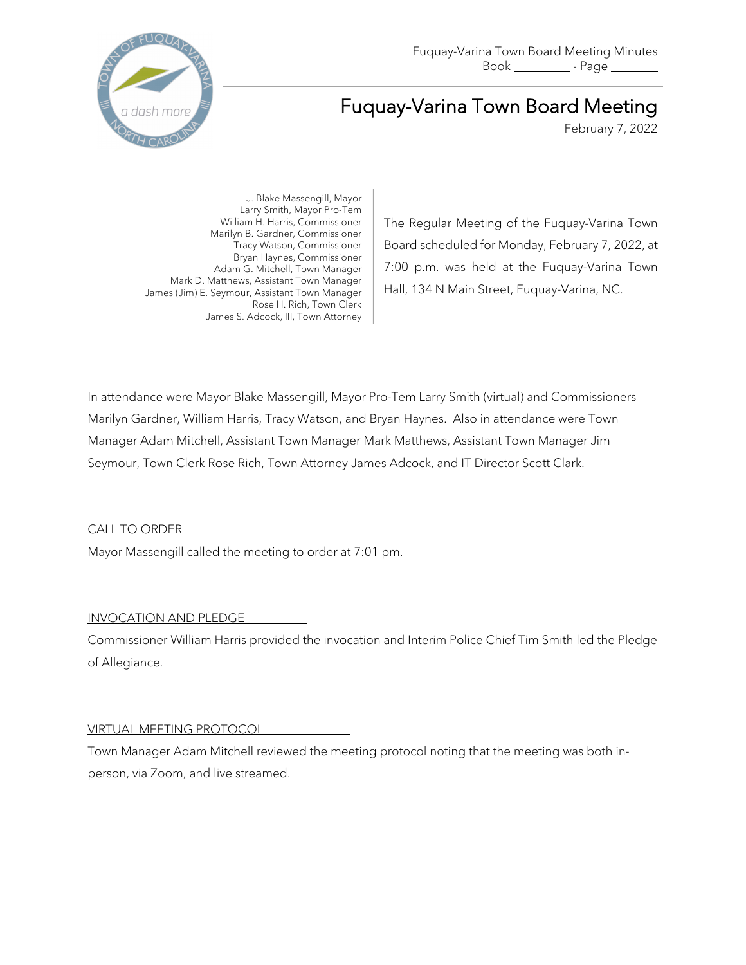

# Fuquay-Varina Town Board Meeting

February 7, 2022

J. Blake Massengill, Mayor Larry Smith, Mayor Pro-Tem William H. Harris, Commissioner Marilyn B. Gardner, Commissioner Tracy Watson, Commissioner Bryan Haynes, Commissioner Adam G. Mitchell, Town Manager Mark D. Matthews, Assistant Town Manager James (Jim) E. Seymour, Assistant Town Manager Rose H. Rich, Town Clerk James S. Adcock, III, Town Attorney

The Regular Meeting of the Fuquay-Varina Town Board scheduled for Monday, February 7, 2022, at 7:00 p.m. was held at the Fuquay-Varina Town Hall, 134 N Main Street, Fuquay-Varina, NC.

In attendance were Mayor Blake Massengill, Mayor Pro-Tem Larry Smith (virtual) and Commissioners Marilyn Gardner, William Harris, Tracy Watson, and Bryan Haynes. Also in attendance were Town Manager Adam Mitchell, Assistant Town Manager Mark Matthews, Assistant Town Manager Jim Seymour, Town Clerk Rose Rich, Town Attorney James Adcock, and IT Director Scott Clark.

CALL TO ORDER

Mayor Massengill called the meeting to order at 7:01 pm.

# INVOCATION AND PLEDGE

Commissioner William Harris provided the invocation and Interim Police Chief Tim Smith led the Pledge of Allegiance.

# VIRTUAL MEETING PROTOCOL

Town Manager Adam Mitchell reviewed the meeting protocol noting that the meeting was both inperson, via Zoom, and live streamed.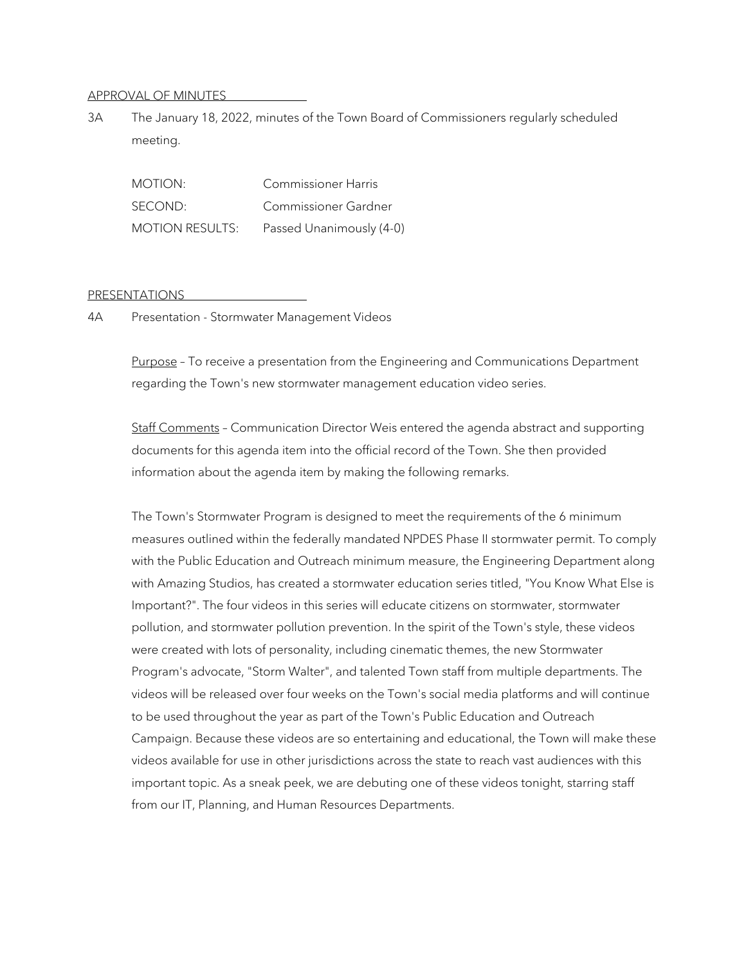#### APPROVAL OF MINUTES

3A The January 18, 2022, minutes of the Town Board of Commissioners regularly scheduled meeting.

MOTION: Commissioner Harris SECOND: Commissioner Gardner MOTION RESULTS: Passed Unanimously (4-0)

#### PRESENTATIONS

4A Presentation - Stormwater Management Videos

Purpose - To receive a presentation from the Engineering and Communications Department regarding the Town's new stormwater management education video series.

Staff Comments – Communication Director Weis entered the agenda abstract and supporting documents for this agenda item into the official record of the Town. She then provided information about the agenda item by making the following remarks.

The Town's Stormwater Program is designed to meet the requirements of the 6 minimum measures outlined within the federally mandated NPDES Phase II stormwater permit. To comply with the Public Education and Outreach minimum measure, the Engineering Department along with Amazing Studios, has created a stormwater education series titled, "You Know What Else is Important?". The four videos in this series will educate citizens on stormwater, stormwater pollution, and stormwater pollution prevention. In the spirit of the Town's style, these videos were created with lots of personality, including cinematic themes, the new Stormwater Program's advocate, "Storm Walter", and talented Town staff from multiple departments. The videos will be released over four weeks on the Town's social media platforms and will continue to be used throughout the year as part of the Town's Public Education and Outreach Campaign. Because these videos are so entertaining and educational, the Town will make these videos available for use in other jurisdictions across the state to reach vast audiences with this important topic. As a sneak peek, we are debuting one of these videos tonight, starring staff from our IT, Planning, and Human Resources Departments.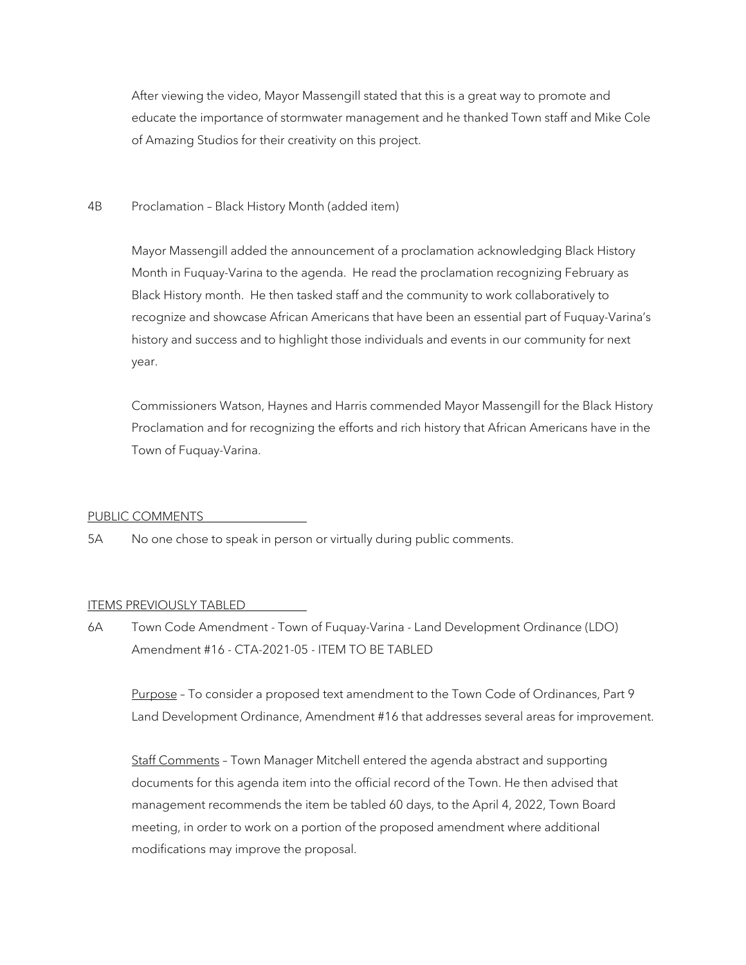After viewing the video, Mayor Massengill stated that this is a great way to promote and educate the importance of stormwater management and he thanked Town staff and Mike Cole of Amazing Studios for their creativity on this project.

## 4B Proclamation – Black History Month (added item)

Mayor Massengill added the announcement of a proclamation acknowledging Black History Month in Fuquay-Varina to the agenda. He read the proclamation recognizing February as Black History month. He then tasked staff and the community to work collaboratively to recognize and showcase African Americans that have been an essential part of Fuquay-Varina's history and success and to highlight those individuals and events in our community for next year.

Commissioners Watson, Haynes and Harris commended Mayor Massengill for the Black History Proclamation and for recognizing the efforts and rich history that African Americans have in the Town of Fuquay-Varina.

#### PUBLIC COMMENTS

5A No one chose to speak in person or virtually during public comments.

#### ITEMS PREVIOUSLY TABLED

6A Town Code Amendment - Town of Fuquay-Varina - Land Development Ordinance (LDO) Amendment #16 - CTA-2021-05 - ITEM TO BE TABLED

Purpose – To consider a proposed text amendment to the Town Code of Ordinances, Part 9 Land Development Ordinance, Amendment #16 that addresses several areas for improvement.

Staff Comments – Town Manager Mitchell entered the agenda abstract and supporting documents for this agenda item into the official record of the Town. He then advised that management recommends the item be tabled 60 days, to the April 4, 2022, Town Board meeting, in order to work on a portion of the proposed amendment where additional modifications may improve the proposal.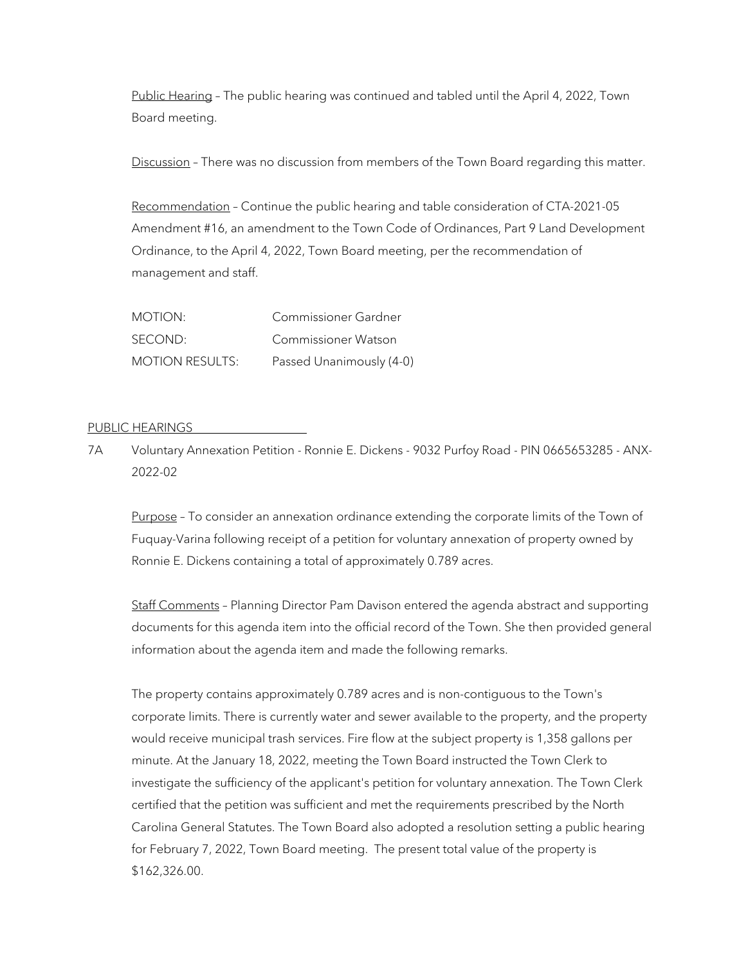Public Hearing – The public hearing was continued and tabled until the April 4, 2022, Town Board meeting.

Discussion - There was no discussion from members of the Town Board regarding this matter.

Recommendation – Continue the public hearing and table consideration of CTA-2021-05 Amendment #16, an amendment to the Town Code of Ordinances, Part 9 Land Development Ordinance, to the April 4, 2022, Town Board meeting, per the recommendation of management and staff.

| MOTION:                | Commissioner Gardner     |
|------------------------|--------------------------|
| SECOND:                | Commissioner Watson      |
| <b>MOTION RESULTS:</b> | Passed Unanimously (4-0) |

## PUBLIC HEARINGS

7A Voluntary Annexation Petition - Ronnie E. Dickens - 9032 Purfoy Road - PIN 0665653285 - ANX-2022-02

Purpose - To consider an annexation ordinance extending the corporate limits of the Town of Fuquay-Varina following receipt of a petition for voluntary annexation of property owned by Ronnie E. Dickens containing a total of approximately 0.789 acres.

Staff Comments – Planning Director Pam Davison entered the agenda abstract and supporting documents for this agenda item into the official record of the Town. She then provided general information about the agenda item and made the following remarks.

The property contains approximately 0.789 acres and is non-contiguous to the Town's corporate limits. There is currently water and sewer available to the property, and the property would receive municipal trash services. Fire flow at the subject property is 1,358 gallons per minute. At the January 18, 2022, meeting the Town Board instructed the Town Clerk to investigate the sufficiency of the applicant's petition for voluntary annexation. The Town Clerk certified that the petition was sufficient and met the requirements prescribed by the North Carolina General Statutes. The Town Board also adopted a resolution setting a public hearing for February 7, 2022, Town Board meeting. The present total value of the property is \$162,326.00.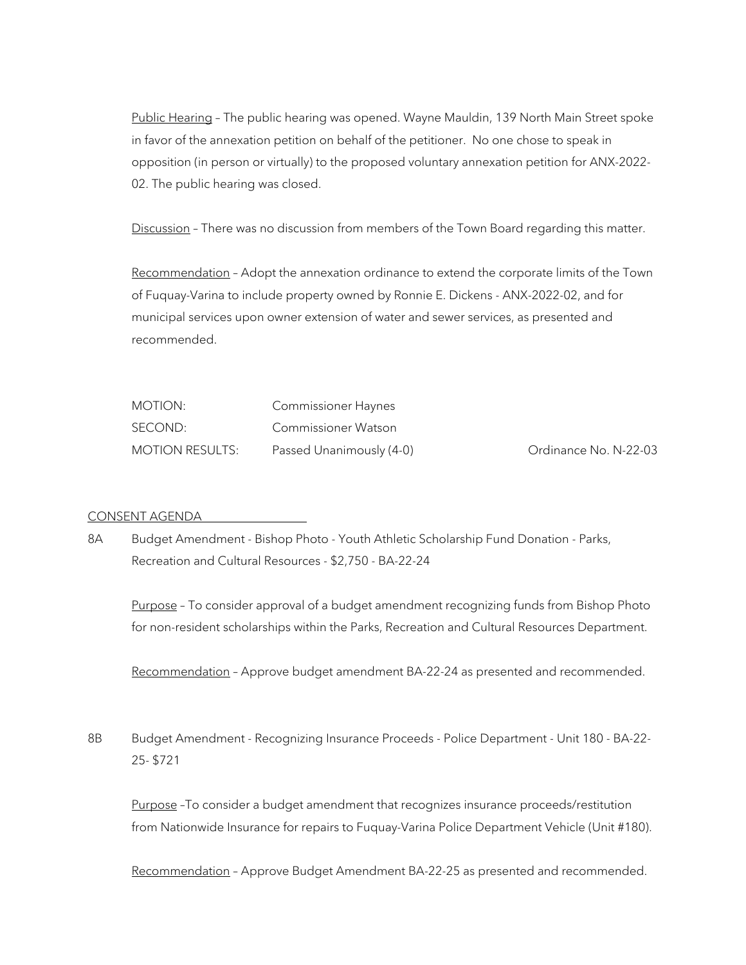Public Hearing – The public hearing was opened. Wayne Mauldin, 139 North Main Street spoke in favor of the annexation petition on behalf of the petitioner. No one chose to speak in opposition (in person or virtually) to the proposed voluntary annexation petition for ANX-2022- 02. The public hearing was closed.

Discussion - There was no discussion from members of the Town Board regarding this matter.

Recommendation – Adopt the annexation ordinance to extend the corporate limits of the Town of Fuquay-Varina to include property owned by Ronnie E. Dickens - ANX-2022-02, and for municipal services upon owner extension of water and sewer services, as presented and recommended.

| MOTION:         | Commissioner Haynes      |                       |
|-----------------|--------------------------|-----------------------|
| SECOND:         | Commissioner Watson      |                       |
| MOTION RESULTS: | Passed Unanimously (4-0) | Ordinance No. N-22-03 |

## CONSENT AGENDA

8A Budget Amendment - Bishop Photo - Youth Athletic Scholarship Fund Donation - Parks, Recreation and Cultural Resources - \$2,750 - BA-22-24

Purpose - To consider approval of a budget amendment recognizing funds from Bishop Photo for non-resident scholarships within the Parks, Recreation and Cultural Resources Department.

Recommendation – Approve budget amendment BA-22-24 as presented and recommended.

8B Budget Amendment - Recognizing Insurance Proceeds - Police Department - Unit 180 - BA-22-25- \$721

Purpose –To consider a budget amendment that recognizes insurance proceeds/restitution from Nationwide Insurance for repairs to Fuquay-Varina Police Department Vehicle (Unit #180).

Recommendation – Approve Budget Amendment BA-22-25 as presented and recommended.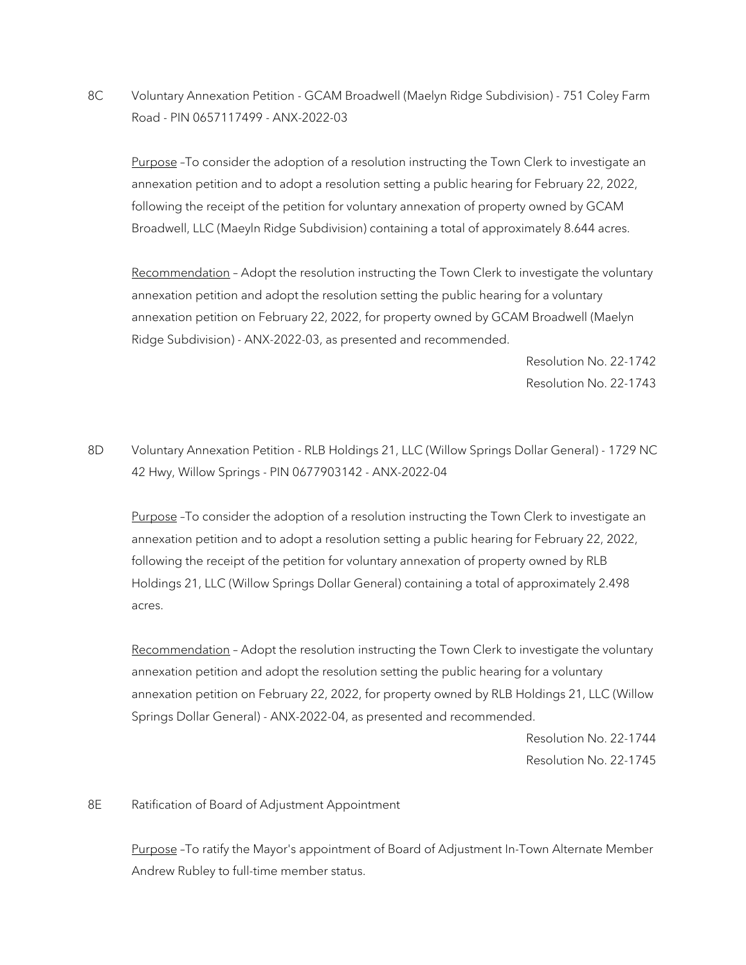8C Voluntary Annexation Petition - GCAM Broadwell (Maelyn Ridge Subdivision) - 751 Coley Farm Road - PIN 0657117499 - ANX-2022-03

Purpose –To consider the adoption of a resolution instructing the Town Clerk to investigate an annexation petition and to adopt a resolution setting a public hearing for February 22, 2022, following the receipt of the petition for voluntary annexation of property owned by GCAM Broadwell, LLC (Maeyln Ridge Subdivision) containing a total of approximately 8.644 acres.

Recommendation - Adopt the resolution instructing the Town Clerk to investigate the voluntary annexation petition and adopt the resolution setting the public hearing for a voluntary annexation petition on February 22, 2022, for property owned by GCAM Broadwell (Maelyn Ridge Subdivision) - ANX-2022-03, as presented and recommended.

> Resolution No. 22-1742 Resolution No. 22-1743

8D Voluntary Annexation Petition - RLB Holdings 21, LLC (Willow Springs Dollar General) - 1729 NC 42 Hwy, Willow Springs - PIN 0677903142 - ANX-2022-04

Purpose -To consider the adoption of a resolution instructing the Town Clerk to investigate an annexation petition and to adopt a resolution setting a public hearing for February 22, 2022, following the receipt of the petition for voluntary annexation of property owned by RLB Holdings 21, LLC (Willow Springs Dollar General) containing a total of approximately 2.498 acres.

Recommendation - Adopt the resolution instructing the Town Clerk to investigate the voluntary annexation petition and adopt the resolution setting the public hearing for a voluntary annexation petition on February 22, 2022, for property owned by RLB Holdings 21, LLC (Willow Springs Dollar General) - ANX-2022-04, as presented and recommended.

> Resolution No. 22-1744 Resolution No. 22-1745

## 8E Ratification of Board of Adjustment Appointment

Purpose –To ratify the Mayor's appointment of Board of Adjustment In-Town Alternate Member Andrew Rubley to full-time member status.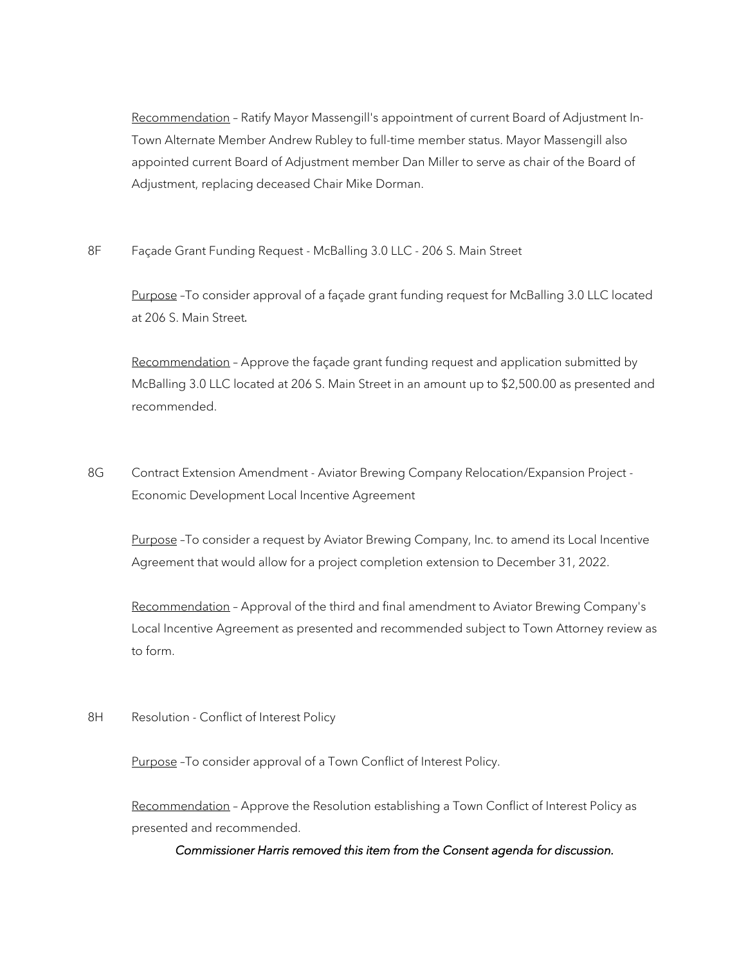Recommendation – Ratify Mayor Massengill's appointment of current Board of Adjustment In-Town Alternate Member Andrew Rubley to full-time member status. Mayor Massengill also appointed current Board of Adjustment member Dan Miller to serve as chair of the Board of Adjustment, replacing deceased Chair Mike Dorman.

8F Façade Grant Funding Request - McBalling 3.0 LLC - 206 S. Main Street

Purpose -To consider approval of a façade grant funding request for McBalling 3.0 LLC located at 206 S. Main Street.

Recommendation - Approve the façade grant funding request and application submitted by McBalling 3.0 LLC located at 206 S. Main Street in an amount up to \$2,500.00 as presented and recommended.

8G Contract Extension Amendment - Aviator Brewing Company Relocation/Expansion Project -Economic Development Local Incentive Agreement

Purpose -To consider a request by Aviator Brewing Company, Inc. to amend its Local Incentive Agreement that would allow for a project completion extension to December 31, 2022.

Recommendation – Approval of the third and final amendment to Aviator Brewing Company's Local Incentive Agreement as presented and recommended subject to Town Attorney review as to form.

8H Resolution - Conflict of Interest Policy

Purpose -To consider approval of a Town Conflict of Interest Policy.

Recommendation - Approve the Resolution establishing a Town Conflict of Interest Policy as presented and recommended.

*Commissioner Harris removed this item from the Consent agenda for discussion.*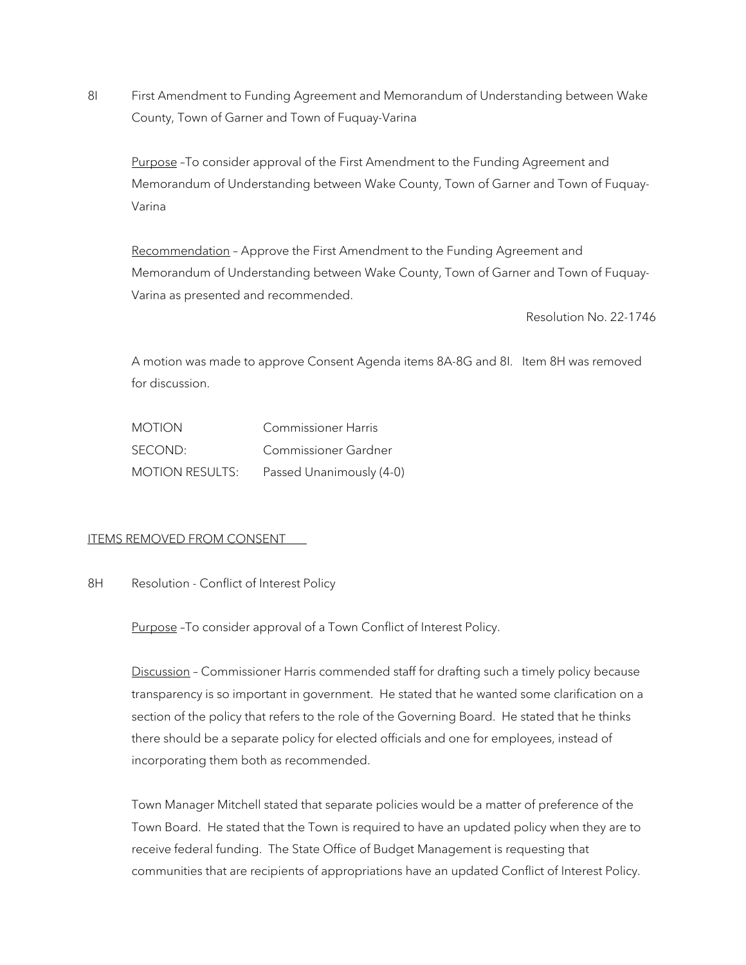8I First Amendment to Funding Agreement and Memorandum of Understanding between Wake County, Town of Garner and Town of Fuquay-Varina

Purpose -To consider approval of the First Amendment to the Funding Agreement and Memorandum of Understanding between Wake County, Town of Garner and Town of Fuquay-Varina

Recommendation - Approve the First Amendment to the Funding Agreement and Memorandum of Understanding between Wake County, Town of Garner and Town of Fuquay-Varina as presented and recommended.

Resolution No. 22-1746

A motion was made to approve Consent Agenda items 8A-8G and 8I. Item 8H was removed for discussion.

| <b>MOTION</b>          | Commissioner Harris      |
|------------------------|--------------------------|
| SECOND:                | Commissioner Gardner     |
| <b>MOTION RESULTS:</b> | Passed Unanimously (4-0) |

# ITEMS REMOVED FROM CONSENT

8H Resolution - Conflict of Interest Policy

Purpose -To consider approval of a Town Conflict of Interest Policy.

Discussion – Commissioner Harris commended staff for drafting such a timely policy because transparency is so important in government. He stated that he wanted some clarification on a section of the policy that refers to the role of the Governing Board. He stated that he thinks there should be a separate policy for elected officials and one for employees, instead of incorporating them both as recommended.

Town Manager Mitchell stated that separate policies would be a matter of preference of the Town Board. He stated that the Town is required to have an updated policy when they are to receive federal funding. The State Office of Budget Management is requesting that communities that are recipients of appropriations have an updated Conflict of Interest Policy.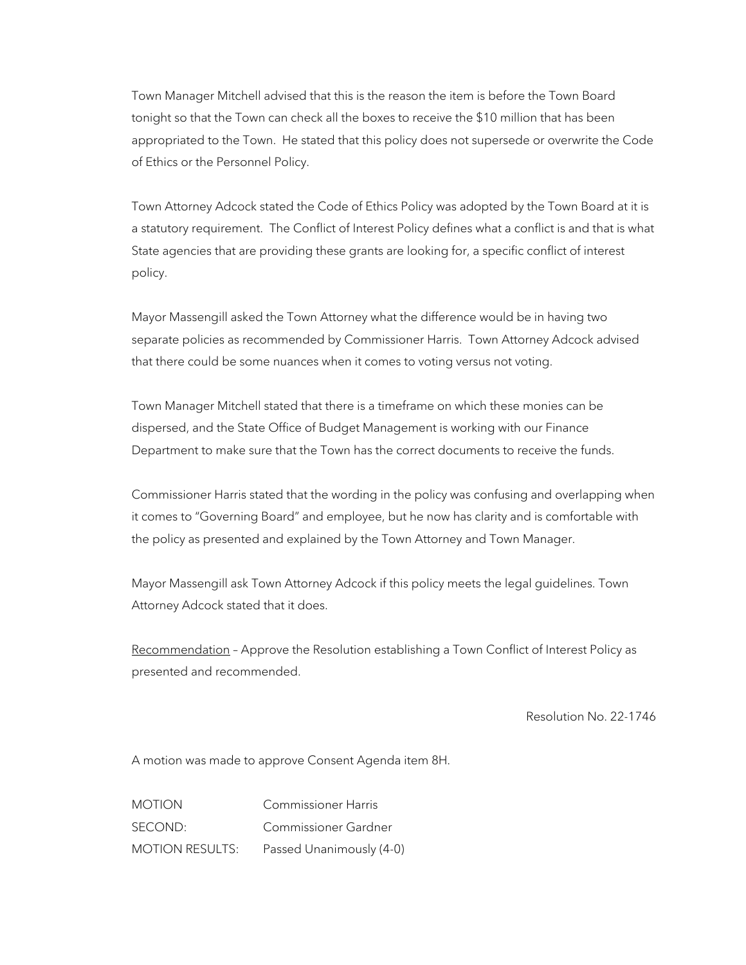Town Manager Mitchell advised that this is the reason the item is before the Town Board tonight so that the Town can check all the boxes to receive the \$10 million that has been appropriated to the Town. He stated that this policy does not supersede or overwrite the Code of Ethics or the Personnel Policy.

Town Attorney Adcock stated the Code of Ethics Policy was adopted by the Town Board at it is a statutory requirement. The Conflict of Interest Policy defines what a conflict is and that is what State agencies that are providing these grants are looking for, a specific conflict of interest policy.

Mayor Massengill asked the Town Attorney what the difference would be in having two separate policies as recommended by Commissioner Harris. Town Attorney Adcock advised that there could be some nuances when it comes to voting versus not voting.

Town Manager Mitchell stated that there is a timeframe on which these monies can be dispersed, and the State Office of Budget Management is working with our Finance Department to make sure that the Town has the correct documents to receive the funds.

Commissioner Harris stated that the wording in the policy was confusing and overlapping when it comes to "Governing Board" and employee, but he now has clarity and is comfortable with the policy as presented and explained by the Town Attorney and Town Manager.

Mayor Massengill ask Town Attorney Adcock if this policy meets the legal guidelines. Town Attorney Adcock stated that it does.

Recommendation - Approve the Resolution establishing a Town Conflict of Interest Policy as presented and recommended.

Resolution No. 22-1746

A motion was made to approve Consent Agenda item 8H.

MOTION Commissioner Harris SECOND: Commissioner Gardner MOTION RESULTS: Passed Unanimously (4-0)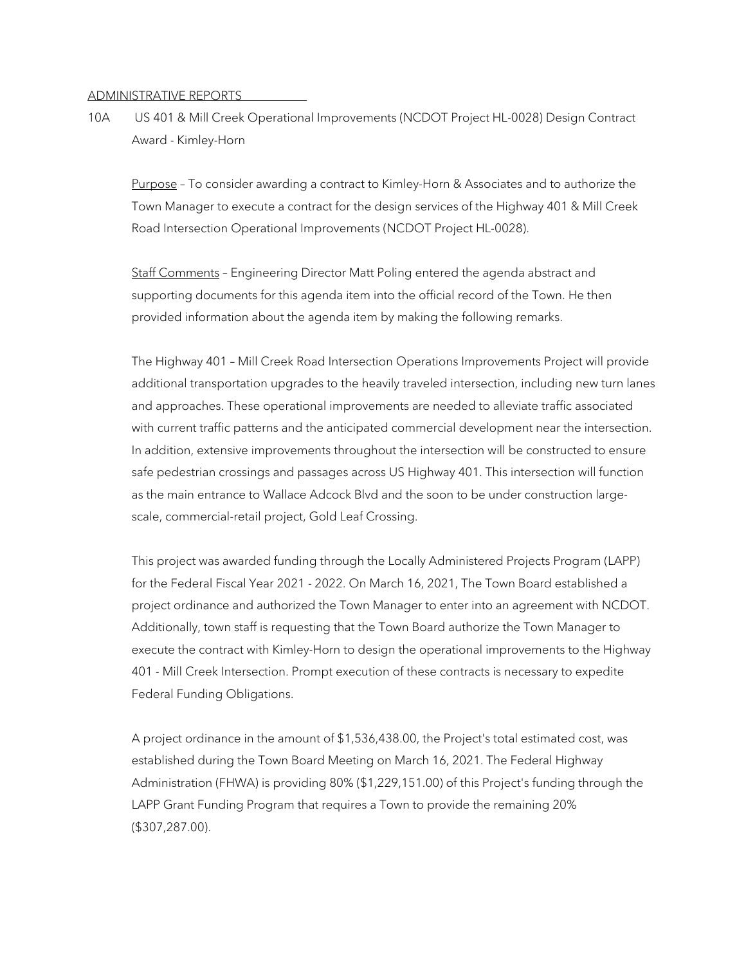#### ADMINISTRATIVE REPORTS

10A US 401 & Mill Creek Operational Improvements (NCDOT Project HL-0028) Design Contract Award - Kimley-Horn

Purpose - To consider awarding a contract to Kimley-Horn & Associates and to authorize the Town Manager to execute a contract for the design services of the Highway 401 & Mill Creek Road Intersection Operational Improvements (NCDOT Project HL-0028).

Staff Comments – Engineering Director Matt Poling entered the agenda abstract and supporting documents for this agenda item into the official record of the Town. He then provided information about the agenda item by making the following remarks.

The Highway 401 – Mill Creek Road Intersection Operations Improvements Project will provide additional transportation upgrades to the heavily traveled intersection, including new turn lanes and approaches. These operational improvements are needed to alleviate traffic associated with current traffic patterns and the anticipated commercial development near the intersection. In addition, extensive improvements throughout the intersection will be constructed to ensure safe pedestrian crossings and passages across US Highway 401. This intersection will function as the main entrance to Wallace Adcock Blvd and the soon to be under construction largescale, commercial-retail project, Gold Leaf Crossing.

This project was awarded funding through the Locally Administered Projects Program (LAPP) for the Federal Fiscal Year 2021 - 2022. On March 16, 2021, The Town Board established a project ordinance and authorized the Town Manager to enter into an agreement with NCDOT. Additionally, town staff is requesting that the Town Board authorize the Town Manager to execute the contract with Kimley-Horn to design the operational improvements to the Highway 401 - Mill Creek Intersection. Prompt execution of these contracts is necessary to expedite Federal Funding Obligations.

A project ordinance in the amount of \$1,536,438.00, the Project's total estimated cost, was established during the Town Board Meeting on March 16, 2021. The Federal Highway Administration (FHWA) is providing 80% (\$1,229,151.00) of this Project's funding through the LAPP Grant Funding Program that requires a Town to provide the remaining 20% (\$307,287.00).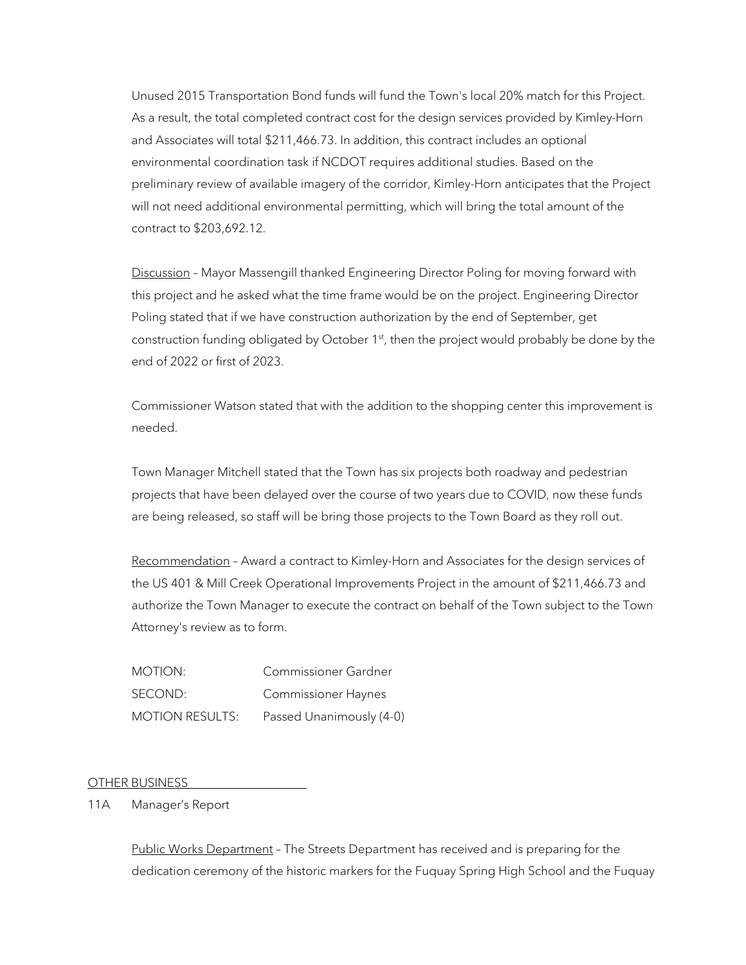Unused 2015 Transportation Bond funds will fund the Town's local 20% match for this Project. As a result, the total completed contract cost for the design services provided by Kimley-Horn and Associates will total \$211,466.73. In addition, this contract includes an optional environmental coordination task if NCDOT requires additional studies. Based on the preliminary review of available imagery of the corridor, Kimley-Horn anticipates that the Project will not need additional environmental permitting, which will bring the total amount of the contract to \$203,692.12.

Discussion - Mayor Massengill thanked Engineering Director Poling for moving forward with this project and he asked what the time frame would be on the project. Engineering Director Poling stated that if we have construction authorization by the end of September, get construction funding obligated by October  $1<sup>st</sup>$ , then the project would probably be done by the end of 2022 or first of 2023.

Commissioner Watson stated that with the addition to the shopping center this improvement is needed.

Town Manager Mitchell stated that the Town has six projects both roadway and pedestrian projects that have been delayed over the course of two years due to COVID, now these funds are being released, so staff will be bring those projects to the Town Board as they roll out.

Recommendation - Award a contract to Kimley-Horn and Associates for the design services of the US 401 & Mill Creek Operational Improvements Project in the amount of \$211,466.73 and authorize the Town Manager to execute the contract on behalf of the Town subject to the Town Attorney's review as to form.

MOTION: Commissioner Gardner SECOND: Commissioner Haynes MOTION RESULTS: Passed Unanimously (4-0)

OTHER BUSINESS

11A Manager's Report

Public Works Department – The Streets Department has received and is preparing for the dedication ceremony of the historic markers for the Fuquay Spring High School and the Fuquay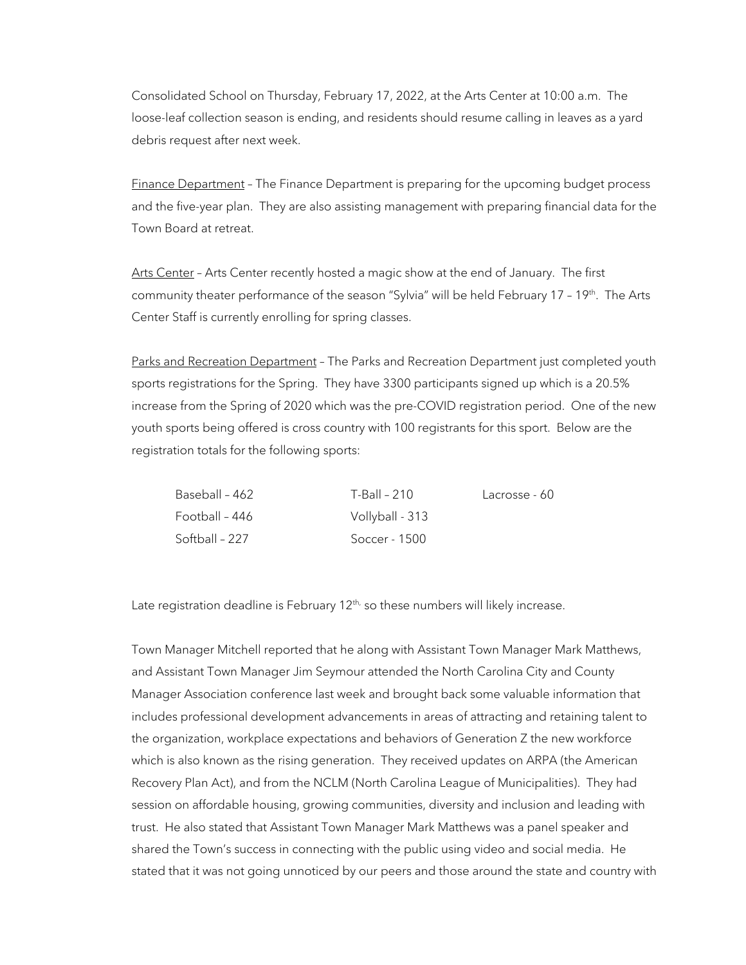Consolidated School on Thursday, February 17, 2022, at the Arts Center at 10:00 a.m. The loose-leaf collection season is ending, and residents should resume calling in leaves as a yard debris request after next week.

Finance Department - The Finance Department is preparing for the upcoming budget process and the five-year plan. They are also assisting management with preparing financial data for the Town Board at retreat.

Arts Center - Arts Center recently hosted a magic show at the end of January. The first community theater performance of the season "Sylvia" will be held February 17 - 19<sup>th</sup>. The Arts Center Staff is currently enrolling for spring classes.

Parks and Recreation Department - The Parks and Recreation Department just completed youth sports registrations for the Spring. They have 3300 participants signed up which is a 20.5% increase from the Spring of 2020 which was the pre-COVID registration period. One of the new youth sports being offered is cross country with 100 registrants for this sport. Below are the registration totals for the following sports:

| Baseball - 462 | T-Ball – 210    | Lacrosse - 60 |
|----------------|-----------------|---------------|
| Football - 446 | Vollyball - 313 |               |
| Softball - 227 | Soccer - 1500   |               |

Late registration deadline is February  $12<sup>th</sup>$ , so these numbers will likely increase.

Town Manager Mitchell reported that he along with Assistant Town Manager Mark Matthews, and Assistant Town Manager Jim Seymour attended the North Carolina City and County Manager Association conference last week and brought back some valuable information that includes professional development advancements in areas of attracting and retaining talent to the organization, workplace expectations and behaviors of Generation Z the new workforce which is also known as the rising generation. They received updates on ARPA (the American Recovery Plan Act), and from the NCLM (North Carolina League of Municipalities). They had session on affordable housing, growing communities, diversity and inclusion and leading with trust. He also stated that Assistant Town Manager Mark Matthews was a panel speaker and shared the Town's success in connecting with the public using video and social media. He stated that it was not going unnoticed by our peers and those around the state and country with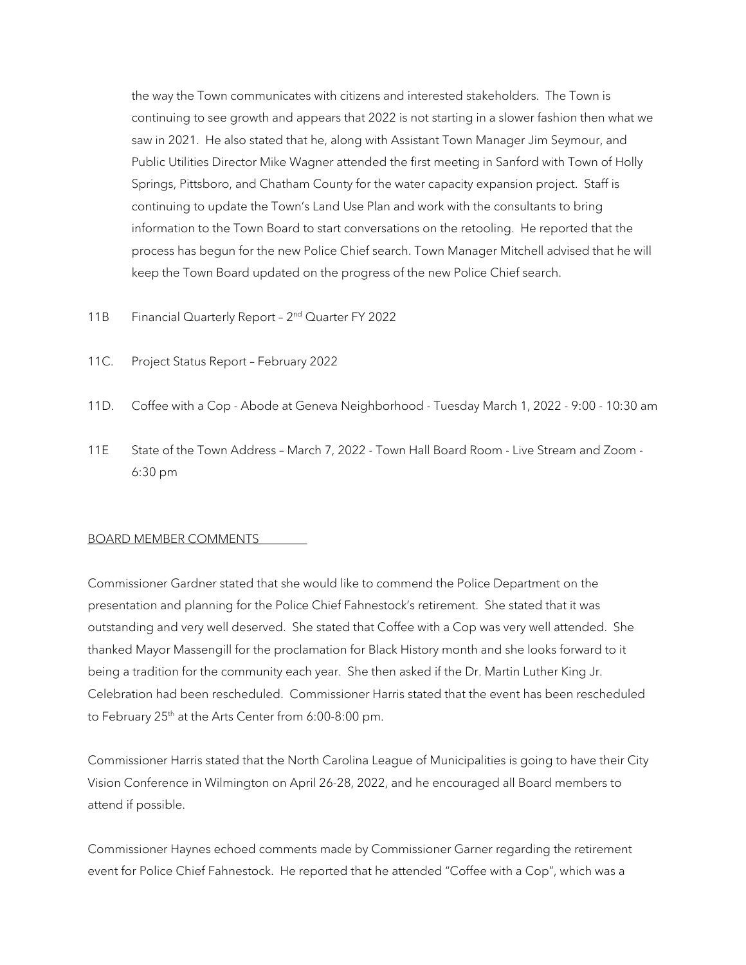the way the Town communicates with citizens and interested stakeholders. The Town is continuing to see growth and appears that 2022 is not starting in a slower fashion then what we saw in 2021. He also stated that he, along with Assistant Town Manager Jim Seymour, and Public Utilities Director Mike Wagner attended the first meeting in Sanford with Town of Holly Springs, Pittsboro, and Chatham County for the water capacity expansion project. Staff is continuing to update the Town's Land Use Plan and work with the consultants to bring information to the Town Board to start conversations on the retooling. He reported that the process has begun for the new Police Chief search. Town Manager Mitchell advised that he will keep the Town Board updated on the progress of the new Police Chief search.

- 11B Financial Quarterly Report 2<sup>nd</sup> Quarter FY 2022
- 11C. Project Status Report February 2022
- 11D. Coffee with a Cop Abode at Geneva Neighborhood Tuesday March 1, 2022 9:00 10:30 am
- 11E State of the Town Address March 7, 2022 Town Hall Board Room Live Stream and Zoom 6:30 pm

# BOARD MEMBER COMMENTS

Commissioner Gardner stated that she would like to commend the Police Department on the presentation and planning for the Police Chief Fahnestock's retirement. She stated that it was outstanding and very well deserved. She stated that Coffee with a Cop was very well attended. She thanked Mayor Massengill for the proclamation for Black History month and she looks forward to it being a tradition for the community each year. She then asked if the Dr. Martin Luther King Jr. Celebration had been rescheduled. Commissioner Harris stated that the event has been rescheduled to February 25<sup>th</sup> at the Arts Center from 6:00-8:00 pm.

Commissioner Harris stated that the North Carolina League of Municipalities is going to have their City Vision Conference in Wilmington on April 26-28, 2022, and he encouraged all Board members to attend if possible.

Commissioner Haynes echoed comments made by Commissioner Garner regarding the retirement event for Police Chief Fahnestock. He reported that he attended "Coffee with a Cop", which was a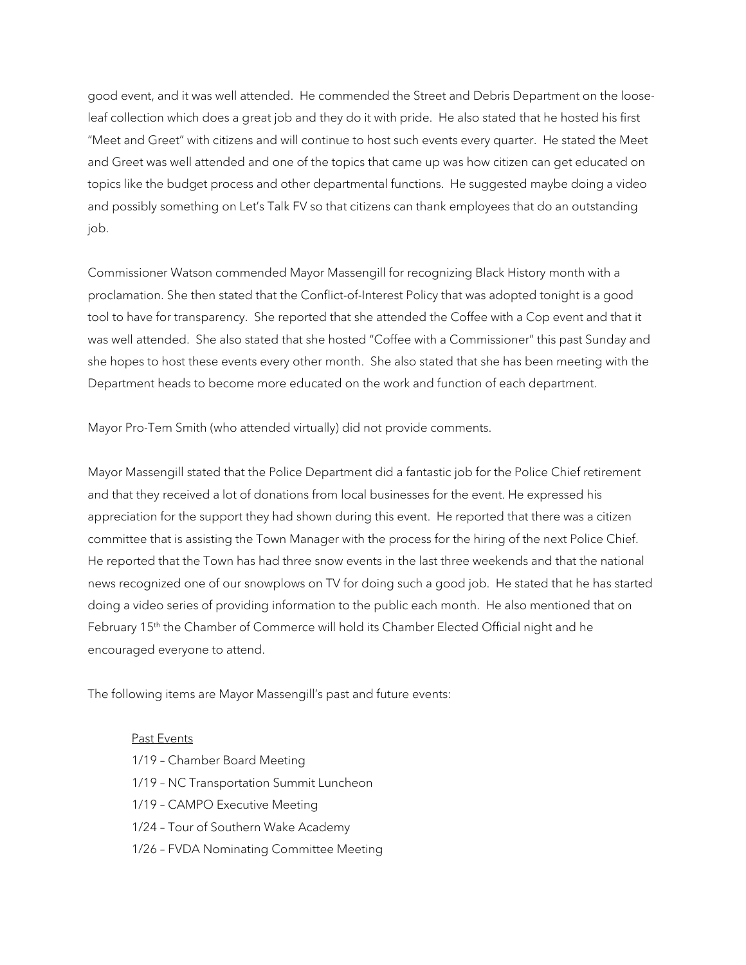good event, and it was well attended. He commended the Street and Debris Department on the looseleaf collection which does a great job and they do it with pride. He also stated that he hosted his first "Meet and Greet" with citizens and will continue to host such events every quarter. He stated the Meet and Greet was well attended and one of the topics that came up was how citizen can get educated on topics like the budget process and other departmental functions. He suggested maybe doing a video and possibly something on Let's Talk FV so that citizens can thank employees that do an outstanding job.

Commissioner Watson commended Mayor Massengill for recognizing Black History month with a proclamation. She then stated that the Conflict-of-Interest Policy that was adopted tonight is a good tool to have for transparency. She reported that she attended the Coffee with a Cop event and that it was well attended. She also stated that she hosted "Coffee with a Commissioner" this past Sunday and she hopes to host these events every other month. She also stated that she has been meeting with the Department heads to become more educated on the work and function of each department.

Mayor Pro-Tem Smith (who attended virtually) did not provide comments.

Mayor Massengill stated that the Police Department did a fantastic job for the Police Chief retirement and that they received a lot of donations from local businesses for the event. He expressed his appreciation for the support they had shown during this event. He reported that there was a citizen committee that is assisting the Town Manager with the process for the hiring of the next Police Chief. He reported that the Town has had three snow events in the last three weekends and that the national news recognized one of our snowplows on TV for doing such a good job. He stated that he has started doing a video series of providing information to the public each month. He also mentioned that on February 15<sup>th</sup> the Chamber of Commerce will hold its Chamber Elected Official night and he encouraged everyone to attend.

The following items are Mayor Massengill's past and future events:

## Past Events

- 1/19 Chamber Board Meeting
- 1/19 NC Transportation Summit Luncheon
- 1/19 CAMPO Executive Meeting
- 1/24 Tour of Southern Wake Academy
- 1/26 FVDA Nominating Committee Meeting